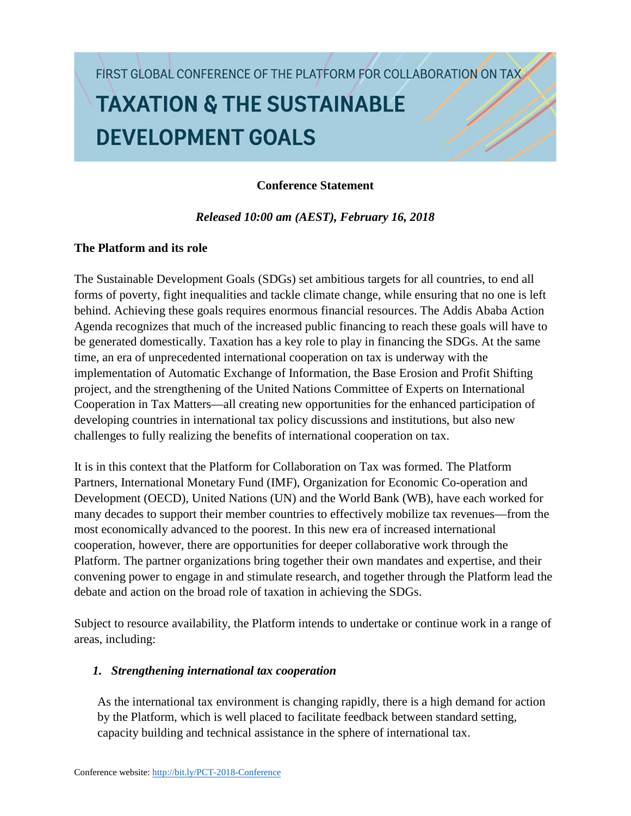FIRST GLOBAL CONFERENCE OF THE PLATFORM FOR COLLABORATION ON TAX.

# **TAXATION & THE SUSTAINABLE DEVELOPMENT GOALS**

## **Conference Statement**

*Released 10:00 am (AEST), February 16, 2018*

# **The Platform and its role**

The Sustainable Development Goals (SDGs) set ambitious targets for all countries, to end all forms of poverty, fight inequalities and tackle climate change, while ensuring that no one is left behind. Achieving these goals requires enormous financial resources. The Addis Ababa Action Agenda recognizes that much of the increased public financing to reach these goals will have to be generated domestically. Taxation has a key role to play in financing the SDGs. At the same time, an era of unprecedented international cooperation on tax is underway with the implementation of Automatic Exchange of Information, the Base Erosion and Profit Shifting project, and the strengthening of the United Nations Committee of Experts on International Cooperation in Tax Matters—all creating new opportunities for the enhanced participation of developing countries in international tax policy discussions and institutions, but also new challenges to fully realizing the benefits of international cooperation on tax.

It is in this context that the Platform for Collaboration on Tax was formed. The Platform Partners, International Monetary Fund (IMF), Organization for Economic Co-operation and Development (OECD), United Nations (UN) and the World Bank (WB), have each worked for many decades to support their member countries to effectively mobilize tax revenues—from the most economically advanced to the poorest. In this new era of increased international cooperation, however, there are opportunities for deeper collaborative work through the Platform. The partner organizations bring together their own mandates and expertise, and their convening power to engage in and stimulate research, and together through the Platform lead the debate and action on the broad role of taxation in achieving the SDGs.

Subject to resource availability, the Platform intends to undertake or continue work in a range of areas, including:

## *1. Strengthening international tax cooperation*

As the international tax environment is changing rapidly, there is a high demand for action by the Platform, which is well placed to facilitate feedback between standard setting, capacity building and technical assistance in the sphere of international tax.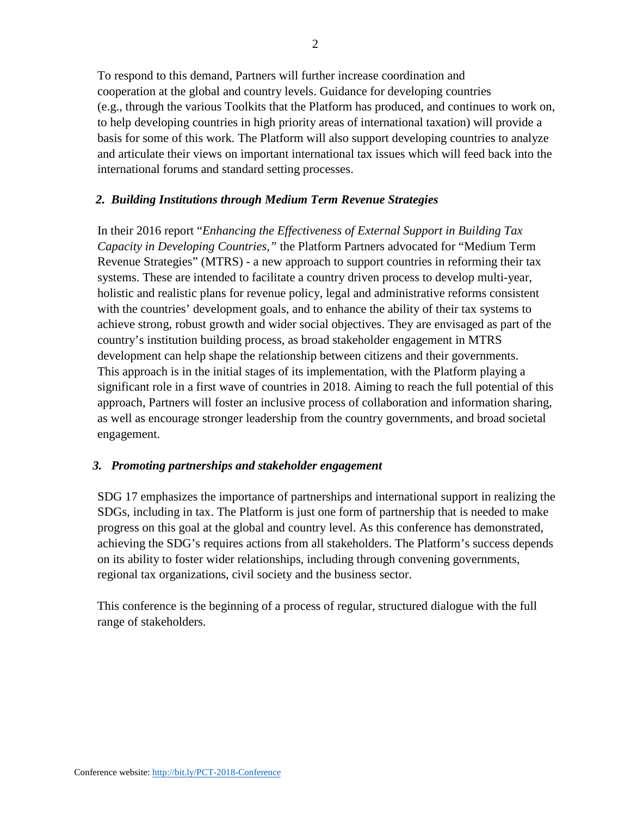To respond to this demand, Partners will further increase coordination and cooperation at the global and country levels. Guidance for developing countries (e.g., through the various Toolkits that the Platform has produced, and continues to work on, to help developing countries in high priority areas of international taxation) will provide a basis for some of this work. The Platform will also support developing countries to analyze and articulate their views on important international tax issues which will feed back into the international forums and standard setting processes.

### *2. Building Institutions through Medium Term Revenue Strategies*

In their 2016 report "*Enhancing the Effectiveness of External Support in Building Tax Capacity in Developing Countries,"* the Platform Partners advocated for "Medium Term Revenue Strategies" (MTRS) - a new approach to support countries in reforming their tax systems. These are intended to facilitate a country driven process to develop multi-year, holistic and realistic plans for revenue policy, legal and administrative reforms consistent with the countries' development goals, and to enhance the ability of their tax systems to achieve strong, robust growth and wider social objectives. They are envisaged as part of the country's institution building process, as broad stakeholder engagement in MTRS development can help shape the relationship between citizens and their governments. This approach is in the initial stages of its implementation, with the Platform playing a significant role in a first wave of countries in 2018. Aiming to reach the full potential of this approach, Partners will foster an inclusive process of collaboration and information sharing, as well as encourage stronger leadership from the country governments, and broad societal engagement.

#### *3. Promoting partnerships and stakeholder engagement*

SDG 17 emphasizes the importance of partnerships and international support in realizing the SDGs, including in tax. The Platform is just one form of partnership that is needed to make progress on this goal at the global and country level. As this conference has demonstrated, achieving the SDG's requires actions from all stakeholders. The Platform's success depends on its ability to foster wider relationships, including through convening governments, regional tax organizations, civil society and the business sector.

This conference is the beginning of a process of regular, structured dialogue with the full range of stakeholders.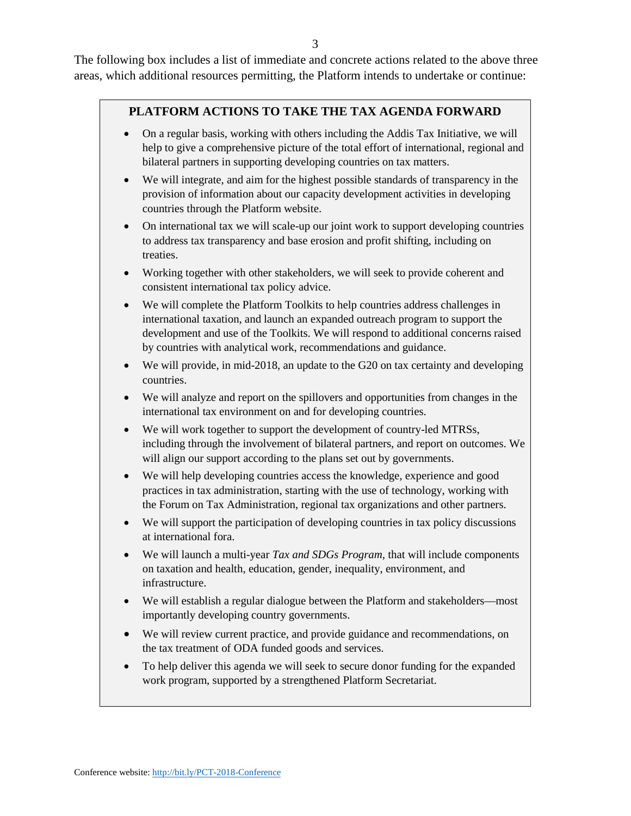The following box includes a list of immediate and concrete actions related to the above three areas, which additional resources permitting, the Platform intends to undertake or continue:

### **PLATFORM ACTIONS TO TAKE THE TAX AGENDA FORWARD**

- On a regular basis, working with others including the Addis Tax Initiative, we will help to give a comprehensive picture of the total effort of international, regional and bilateral partners in supporting developing countries on tax matters.
- We will integrate, and aim for the highest possible standards of transparency in the provision of information about our capacity development activities in developing countries through the Platform website.
- On international tax we will scale-up our joint work to support developing countries to address tax transparency and base erosion and profit shifting, including on treaties.
- Working together with other stakeholders, we will seek to provide coherent and consistent international tax policy advice.
- We will complete the Platform Toolkits to help countries address challenges in international taxation, and launch an expanded outreach program to support the development and use of the Toolkits. We will respond to additional concerns raised by countries with analytical work, recommendations and guidance.
- We will provide, in mid-2018, an update to the G20 on tax certainty and developing countries.
- We will analyze and report on the spillovers and opportunities from changes in the international tax environment on and for developing countries.
- We will work together to support the development of country-led MTRSs, including through the involvement of bilateral partners, and report on outcomes. We will align our support according to the plans set out by governments.
- We will help developing countries access the knowledge, experience and good practices in tax administration, starting with the use of technology, working with the Forum on Tax Administration, regional tax organizations and other partners.
- We will support the participation of developing countries in tax policy discussions at international fora.
- We will launch a multi-year *Tax and SDGs Program*, that will include components on taxation and health, education, gender, inequality, environment, and infrastructure.
- We will establish a regular dialogue between the Platform and stakeholders—most importantly developing country governments.
- We will review current practice, and provide guidance and recommendations, on the tax treatment of ODA funded goods and services.
- To help deliver this agenda we will seek to secure donor funding for the expanded work program, supported by a strengthened Platform Secretariat.